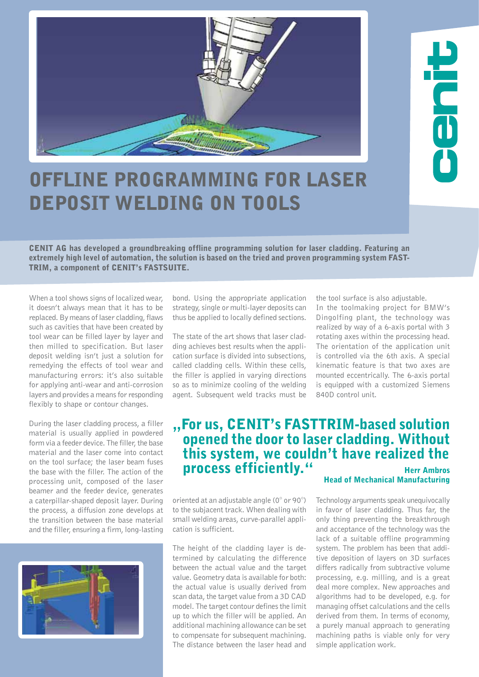

## Offline Programming for Laser Deposit Welding on Tools

CENIT AG has developed a groundbreaking offline programming solution for laser cladding. Featuring an extremely high level of automation, the solution is based on the tried and proven programming system FAST-TRIM, a component of CENIT's FASTSUITE.

When a tool shows signs of localized wear. it doesn't always mean that it has to be replaced. By means of laser cladding, flaws such as cavities that have been created by tool wear can be filled layer by layer and then milled to specification. But laser deposit welding isn't just a solution for remedying the effects of tool wear and manufacturing errors: it's also suitable for applying anti-wear and anti-corrosion layers and provides a means for responding flexibly to shape or contour changes.

During the laser cladding process, a filler material is usually applied in powdered form via a feeder device. The filler, the base material and the laser come into contact on the tool surface; the laser beam fuses the base with the filler. The action of the processing unit, composed of the laser beamer and the feeder device, generates a caterpillar-shaped deposit layer. During the process, a diffusion zone develops at the transition between the base material and the filler, ensuring a firm, long-lasting



bond. Using the appropriate application strategy, single or multi-layer deposits can thus be applied to locally defined sections.

The state of the art shows that laser cladding achieves best results when the application surface is divided into subsections, called cladding cells. Within these cells, the filler is applied in varying directions so as to minimize cooling of the welding agent. Subsequent weld tracks must be the tool surface is also adjustable.

In the toolmaking project for BMW's Dingolfing plant, the technology was realized by way of a 6-axis portal with 3 rotating axes within the processing head. The orientation of the application unit is controlled via the 6th axis. A special kinematic feature is that two axes are mounted eccentrically. The 6-axis portal is equipped with a customized Siemens 840D control unit.

## ,, For us, CENIT's FASTTRIM-based solution opened the door to laser cladding. Without this system, we couldn't have realized the process efficiently." Herr Ambros

oriented at an adjustable angle (0° or 90°) to the subjacent track. When dealing with small welding areas, curve-parallel application is sufficient.

The height of the cladding layer is determined by calculating the difference between the actual value and the target value. Geometry data is available for both: the actual value is usually derived from scan data, the target value from a 3D CAD model. The target contour defines the limit up to which the filler will be applied. An additional machining allowance can be set to compensate for subsequent machining. The distance between the laser head and

## Head of Mechanical Manufacturing

Technology arguments speak unequivocally in favor of laser cladding. Thus far, the only thing preventing the breakthrough and acceptance of the technology was the lack of a suitable offline programming system. The problem has been that additive deposition of layers on 3D surfaces differs radically from subtractive volume processing, e.g. milling, and is a great deal more complex. New approaches and algorithms had to be developed, e.g. for managing offset calculations and the cells derived from them. In terms of economy, a purely manual approach to generating machining paths is viable only for very simple application work.